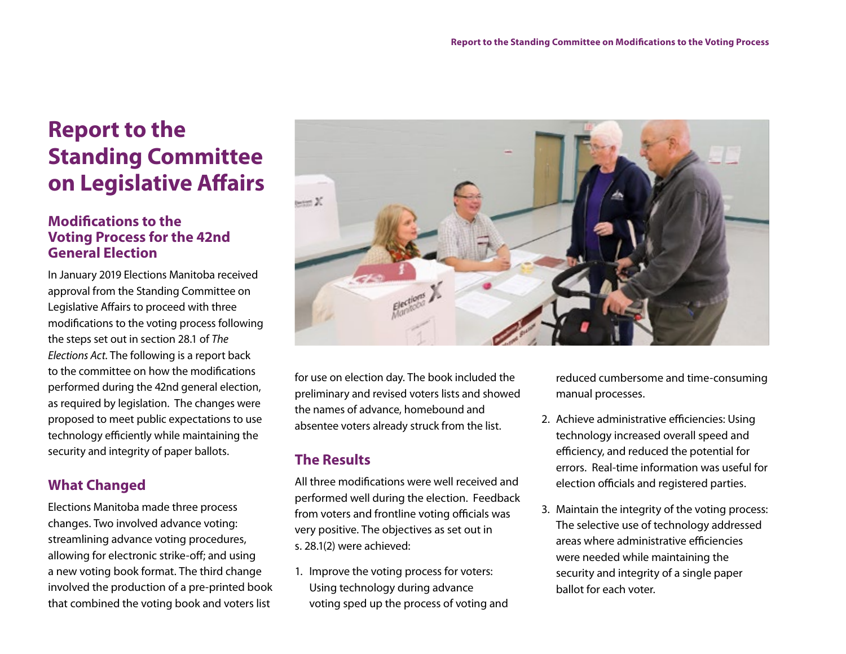# **Report to the Standing Committee on Legislative Affairs**

## **Modifications to the Voting Process for the 42nd General Election**

In January 2019 Elections Manitoba received approval from the Standing Committee on Legislative Affairs to proceed with three modifications to the voting process following the steps set out in section 28.1 of *The Elections Act*. The following is a report back to the committee on how the modifications performed during the 42nd general election, as required by legislation. The changes were proposed to meet public expectations to use technology efficiently while maintaining the security and integrity of paper ballots.

# **What Changed**

Elections Manitoba made three process changes. Two involved advance voting: streamlining advance voting procedures, allowing for electronic strike-off; and using a new voting book format. The third change involved the production of a pre-printed book that combined the voting book and voters list



for use on election day. The book included the preliminary and revised voters lists and showed the names of advance, homebound and absentee voters already struck from the list.

# **The Results**

All three modifications were well received and performed well during the election. Feedback from voters and frontline voting officials was very positive. The objectives as set out in s. 28.1(2) were achieved:

1. Improve the voting process for voters: Using technology during advance voting sped up the process of voting and reduced cumbersome and time-consuming manual processes.

- 2. Achieve administrative efficiencies: Using technology increased overall speed and efficiency, and reduced the potential for errors. Real-time information was useful for election officials and registered parties.
- 3. Maintain the integrity of the voting process: The selective use of technology addressed areas where administrative efficiencies were needed while maintaining the security and integrity of a single paper ballot for each voter.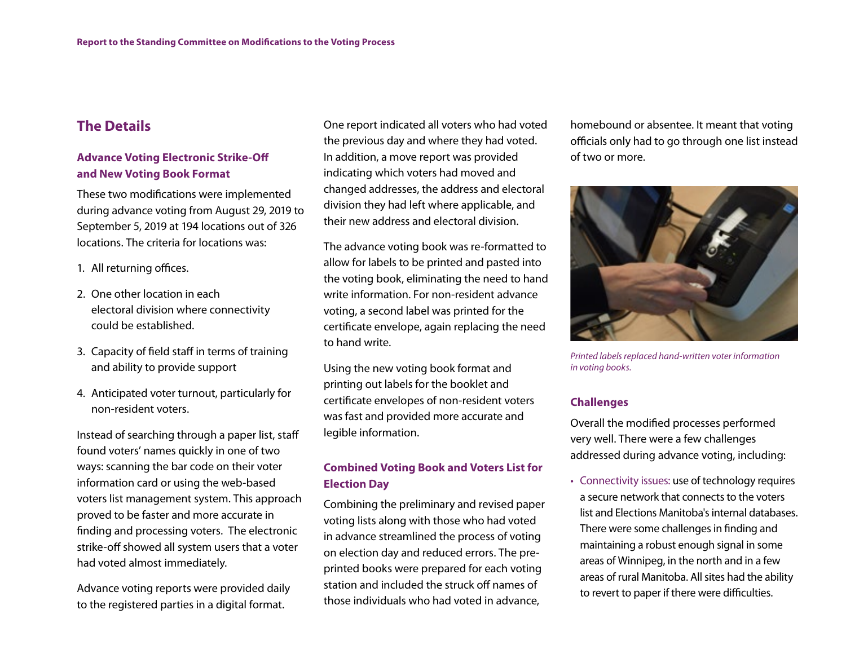## **The Details**

#### **Advance Voting Electronic Strike-Off and New Voting Book Format**

These two modifications were implemented during advance voting from August 29, 2019 to September 5, 2019 at 194 locations out of 326 locations. The criteria for locations was:

- 1. All returning offices.
- 2. One other location in each electoral division where connectivity could be established.
- 3. Capacity of field staff in terms of training and ability to provide support
- 4. Anticipated voter turnout, particularly for non-resident voters.

Instead of searching through a paper list, staff found voters' names quickly in one of two ways: scanning the bar code on their voter information card or using the web-based voters list management system. This approach proved to be faster and more accurate in finding and processing voters. The electronic strike-off showed all system users that a voter had voted almost immediately.

Advance voting reports were provided daily to the registered parties in a digital format.

One report indicated all voters who had voted the previous day and where they had voted. In addition, a move report was provided indicating which voters had moved and changed addresses, the address and electoral division they had left where applicable, and their new address and electoral division.

The advance voting book was re-formatted to allow for labels to be printed and pasted into the voting book, eliminating the need to hand write information. For non-resident advance voting, a second label was printed for the certificate envelope, again replacing the need to hand write.

Using the new voting book format and printing out labels for the booklet and certificate envelopes of non-resident voters was fast and provided more accurate and legible information.

#### **Combined Voting Book and Voters List for Election Day**

Combining the preliminary and revised paper voting lists along with those who had voted in advance streamlined the process of voting on election day and reduced errors. The preprinted books were prepared for each voting station and included the struck off names of those individuals who had voted in advance,

homebound or absentee. It meant that voting officials only had to go through one list instead of two or more.



*Printed labels replaced hand-written voter information in voting books.*

#### **Challenges**

Overall the modified processes performed very well. There were a few challenges addressed during advance voting, including:

• Connectivity issues: use of technology requires a secure network that connects to the voters list and Elections Manitoba's internal databases. There were some challenges in finding and maintaining a robust enough signal in some areas of Winnipeg, in the north and in a few areas of rural Manitoba. All sites had the ability to revert to paper if there were difficulties.